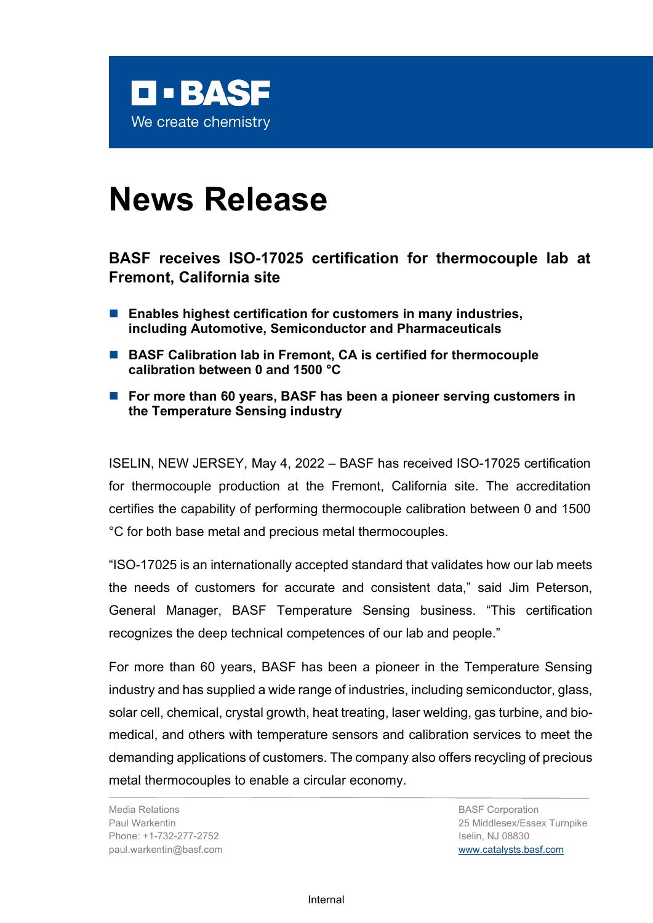

# **News Release**

# **BASF receives ISO-17025 certification for thermocouple lab at Fremont, California site**

- Enables highest certification for customers in many industries, **including Automotive, Semiconductor and Pharmaceuticals**
- BASF Calibration lab in Fremont, CA is certified for thermocouple **calibration between 0 and 1500 °C**
- For more than 60 years, BASF has been a pioneer serving customers in **the Temperature Sensing industry**

ISELIN, NEW JERSEY, May 4, 2022 – BASF has received ISO-17025 certification for thermocouple production at the Fremont, California site. The accreditation certifies the capability of performing thermocouple calibration between 0 and 1500 °C for both base metal and precious metal thermocouples.

"ISO-17025 is an internationally accepted standard that validates how our lab meets the needs of customers for accurate and consistent data," said Jim Peterson, General Manager, BASF Temperature Sensing business. "This certification recognizes the deep technical competences of our lab and people."

For more than 60 years, BASF has been a pioneer in the Temperature Sensing industry and has supplied a wide range of industries, including semiconductor, glass, solar cell, chemical, crystal growth, heat treating, laser welding, gas turbine, and biomedical, and others with temperature sensors and calibration services to meet the demanding applications of customers. The company also offers recycling of precious metal thermocouples to enable a circular economy.

Media Relations Paul Warkentin Phone: +1-732-277-2752 paul.warkentin@basf.com BASF Corporation 25 Middlesex/Essex Turnpike Iselin, NJ 08830 [www.catalysts.basf.com](http://www.catalysts.basf.com/)